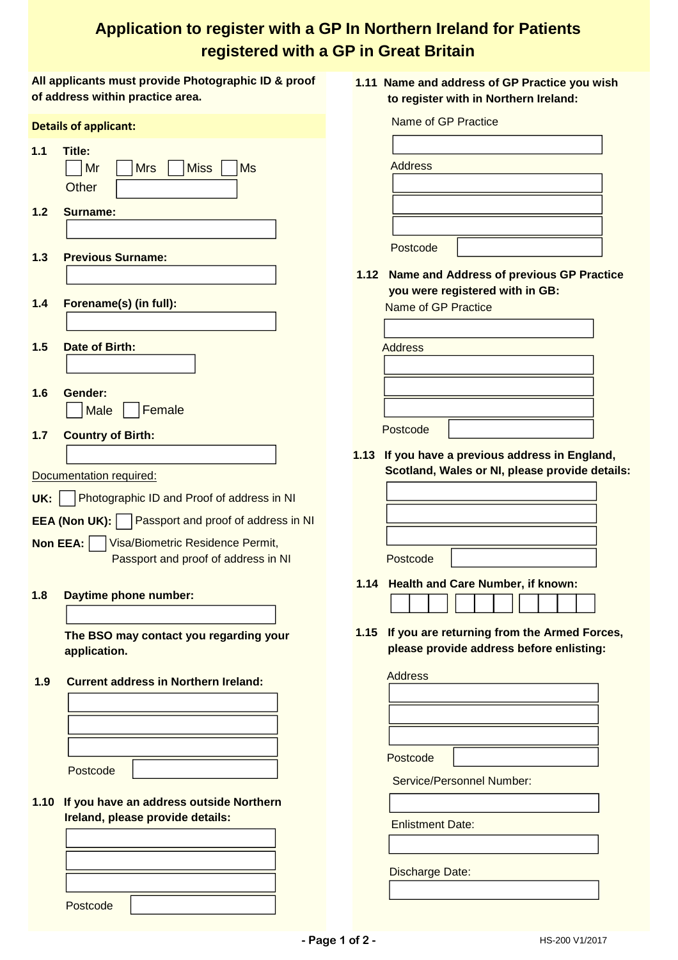## **Application to register with a GP In Northern Ireland for Patients registered with a GP in Great Britain**

|                                                      | All applicants must provide Photographic ID & proof<br>of address within practice area. | 1.11 Name and address of GP Practice you wish<br>to register with in Northern Ireland: |
|------------------------------------------------------|-----------------------------------------------------------------------------------------|----------------------------------------------------------------------------------------|
| <b>Details of applicant:</b>                         |                                                                                         | Name of GP Practice                                                                    |
| 1.1                                                  | Title:                                                                                  |                                                                                        |
|                                                      | <b>Mrs</b><br><b>Miss</b><br><b>Ms</b><br>Mr                                            | <b>Address</b>                                                                         |
|                                                      |                                                                                         |                                                                                        |
|                                                      | Other                                                                                   |                                                                                        |
| $1.2$                                                | <b>Surname:</b>                                                                         |                                                                                        |
|                                                      |                                                                                         |                                                                                        |
|                                                      |                                                                                         | Postcode                                                                               |
| 1.3                                                  | <b>Previous Surname:</b>                                                                |                                                                                        |
|                                                      |                                                                                         | 1.12 Name and Address of previous GP Practice                                          |
|                                                      |                                                                                         | you were registered with in GB:                                                        |
| $1.4$                                                | Forename(s) (in full):                                                                  | Name of GP Practice                                                                    |
|                                                      |                                                                                         |                                                                                        |
| $1.5$                                                | Date of Birth:                                                                          | <b>Address</b>                                                                         |
|                                                      |                                                                                         |                                                                                        |
|                                                      |                                                                                         |                                                                                        |
| 1.6                                                  | Gender:                                                                                 |                                                                                        |
|                                                      | Female<br><b>Male</b>                                                                   |                                                                                        |
|                                                      |                                                                                         | Postcode                                                                               |
| $1.7$                                                | <b>Country of Birth:</b>                                                                |                                                                                        |
|                                                      |                                                                                         | 1.13 If you have a previous address in England,                                        |
|                                                      | Documentation required:                                                                 | Scotland, Wales or NI, please provide details:                                         |
| UK:                                                  | Photographic ID and Proof of address in NI                                              |                                                                                        |
|                                                      |                                                                                         |                                                                                        |
| Passport and proof of address in NI<br>EEA (Non UK): |                                                                                         |                                                                                        |
|                                                      | Non EEA:<br>Visa/Biometric Residence Permit,                                            |                                                                                        |
|                                                      | Passport and proof of address in NI                                                     | Postcode                                                                               |
|                                                      |                                                                                         | 1.14 Health and Care Number, if known:                                                 |
| 1.8                                                  | Daytime phone number:                                                                   |                                                                                        |
|                                                      |                                                                                         |                                                                                        |
|                                                      | The BSO may contact you regarding your                                                  | If you are returning from the Armed Forces,<br>1.15                                    |
|                                                      | application.                                                                            | please provide address before enlisting:                                               |
|                                                      |                                                                                         |                                                                                        |
| 1.9                                                  | <b>Current address in Northern Ireland:</b>                                             | <b>Address</b>                                                                         |
|                                                      |                                                                                         |                                                                                        |
|                                                      |                                                                                         |                                                                                        |
|                                                      |                                                                                         |                                                                                        |
|                                                      |                                                                                         |                                                                                        |
|                                                      | Postcode                                                                                | Postcode                                                                               |
|                                                      |                                                                                         | <b>Service/Personnel Number:</b>                                                       |
| 1.10                                                 | If you have an address outside Northern                                                 |                                                                                        |
|                                                      | Ireland, please provide details:                                                        |                                                                                        |
|                                                      |                                                                                         | <b>Enlistment Date:</b>                                                                |
|                                                      |                                                                                         |                                                                                        |
|                                                      |                                                                                         |                                                                                        |
|                                                      |                                                                                         | <b>Discharge Date:</b>                                                                 |
|                                                      |                                                                                         |                                                                                        |
|                                                      | Postcode                                                                                |                                                                                        |